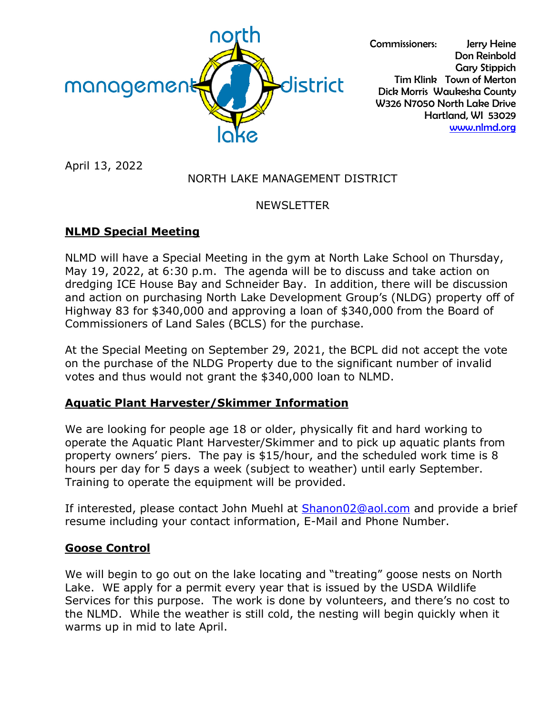

Commissioners: Jerry Heine Don Reinbold Gary Stippich Tim Klink Town of Merton Dick Morris Waukesha County W326 N7050 North Lake Drive Hartland, WI 53029 [www.nlmd.org](http://www.nlmd.org/)

April 13, 2022

# NORTH LAKE MANAGEMENT DISTRICT

# NEWSLETTER

# **NLMD Special Meeting**

NLMD will have a Special Meeting in the gym at North Lake School on Thursday, May 19, 2022, at 6:30 p.m. The agenda will be to discuss and take action on dredging ICE House Bay and Schneider Bay. In addition, there will be discussion and action on purchasing North Lake Development Group's (NLDG) property off of Highway 83 for \$340,000 and approving a loan of \$340,000 from the Board of Commissioners of Land Sales (BCLS) for the purchase.

At the Special Meeting on September 29, 2021, the BCPL did not accept the vote on the purchase of the NLDG Property due to the significant number of invalid votes and thus would not grant the \$340,000 loan to NLMD.

# **Aquatic Plant Harvester/Skimmer Information**

We are looking for people age 18 or older, physically fit and hard working to operate the Aquatic Plant Harvester/Skimmer and to pick up aquatic plants from property owners' piers. The pay is \$15/hour, and the scheduled work time is 8 hours per day for 5 days a week (subject to weather) until early September. Training to operate the equipment will be provided.

If interested, please contact John Muehl at [Shanon02@aol.com](mailto:Shanon02@aol.com) and provide a brief resume including your contact information, E-Mail and Phone Number.

# **Goose Control**

We will begin to go out on the lake locating and "treating" goose nests on North Lake. WE apply for a permit every year that is issued by the USDA Wildlife Services for this purpose. The work is done by volunteers, and there's no cost to the NLMD. While the weather is still cold, the nesting will begin quickly when it warms up in mid to late April.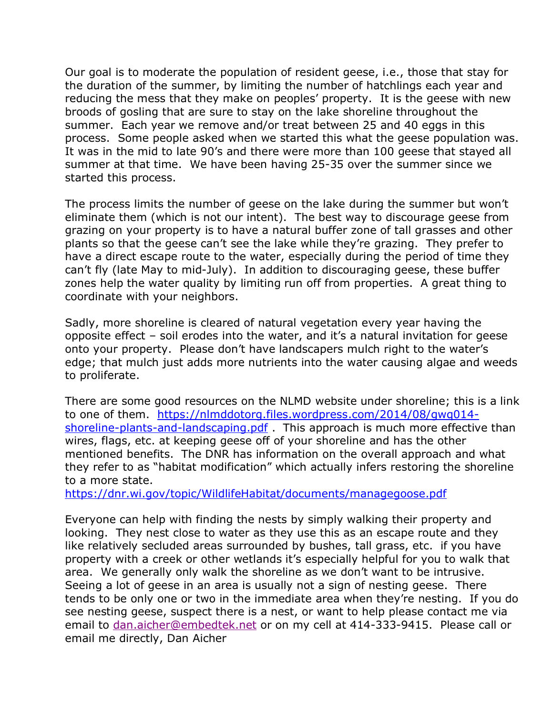Our goal is to moderate the population of resident geese, i.e., those that stay for the duration of the summer, by limiting the number of hatchlings each year and reducing the mess that they make on peoples' property. It is the geese with new broods of gosling that are sure to stay on the lake shoreline throughout the summer. Each year we remove and/or treat between 25 and 40 eggs in this process. Some people asked when we started this what the geese population was. It was in the mid to late 90's and there were more than 100 geese that stayed all summer at that time. We have been having 25-35 over the summer since we started this process.

The process limits the number of geese on the lake during the summer but won't eliminate them (which is not our intent). The best way to discourage geese from grazing on your property is to have a natural buffer zone of tall grasses and other plants so that the geese can't see the lake while they're grazing. They prefer to have a direct escape route to the water, especially during the period of time they can't fly (late May to mid-July). In addition to discouraging geese, these buffer zones help the water quality by limiting run off from properties. A great thing to coordinate with your neighbors.

Sadly, more shoreline is cleared of natural vegetation every year having the opposite effect – soil erodes into the water, and it's a natural invitation for geese onto your property. Please don't have landscapers mulch right to the water's edge; that mulch just adds more nutrients into the water causing algae and weeds to proliferate.

There are some good resources on the NLMD website under shoreline; this is a link to one of them. [https://nlmddotorg.files.wordpress.com/2014/08/gwq014](https://nlmddotorg.files.wordpress.com/2014/08/gwq014-shoreline-plants-and-landscaping.pdf) [shoreline-plants-and-landscaping.pdf](https://nlmddotorg.files.wordpress.com/2014/08/gwq014-shoreline-plants-and-landscaping.pdf) . This approach is much more effective than wires, flags, etc. at keeping geese off of your shoreline and has the other mentioned benefits. The DNR has information on the overall approach and what they refer to as "habitat modification" which actually infers restoring the shoreline to a more state.

<https://dnr.wi.gov/topic/WildlifeHabitat/documents/managegoose.pdf>

Everyone can help with finding the nests by simply walking their property and looking. They nest close to water as they use this as an escape route and they like relatively secluded areas surrounded by bushes, tall grass, etc. if you have property with a creek or other wetlands it's especially helpful for you to walk that area. We generally only walk the shoreline as we don't want to be intrusive. Seeing a lot of geese in an area is usually not a sign of nesting geese. There tends to be only one or two in the immediate area when they're nesting. If you do see nesting geese, suspect there is a nest, or want to help please contact me via email to [dan.aicher@embedtek.net](mailto:dan.aicher@embedtek.net) or on my cell at 414-333-9415. Please call or email me directly, Dan Aicher